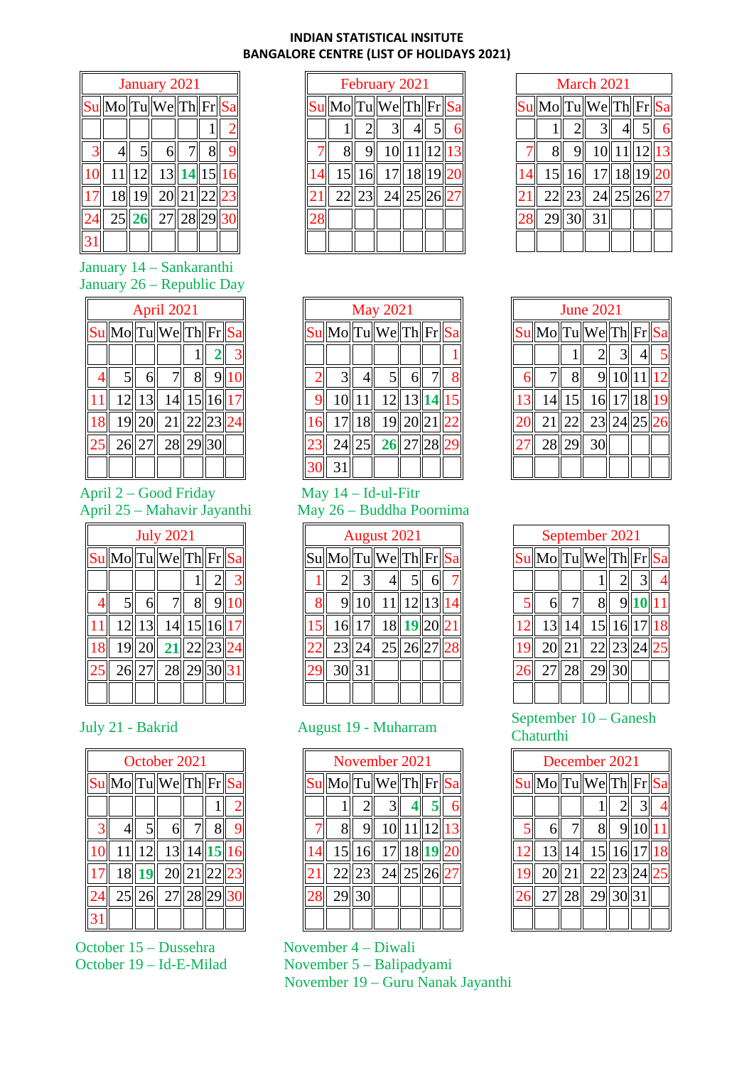## **INDIAN STATISTICAL INSITUTE BANGALORE CENTRE (LIST OF HOLIDAYS 2021)**

| January 2021 |                      |                 |                                           |  |  |  |  |  |
|--------------|----------------------|-----------------|-------------------------------------------|--|--|--|--|--|
|              | Su Mo Tu We Th Fr Sa |                 |                                           |  |  |  |  |  |
|              |                      |                 |                                           |  |  |  |  |  |
|              |                      | 5 <sup>  </sup> |                                           |  |  |  |  |  |
|              |                      |                 | 11  12   13  14  15  16                   |  |  |  |  |  |
|              |                      |                 | $\overline{18}$    19   20   21   22   23 |  |  |  |  |  |
|              |                      |                 | 25  26  27  28  29  3                     |  |  |  |  |  |
|              |                      |                 |                                           |  |  |  |  |  |

January 14 – Sankaranthi January 26 – Republic Day

|    | April 2021     |  |                                                                                                                     |    |                |  |  |  |  |
|----|----------------|--|---------------------------------------------------------------------------------------------------------------------|----|----------------|--|--|--|--|
|    |                |  | $\text{S}$ u Mo $\boxed{\text{T}$ u $\boxed{\text{We}}$ $\boxed{\text{T}$ h $\boxed{\text{Fr}}$ $\boxed{\text{Sa}}$ |    |                |  |  |  |  |
|    |                |  |                                                                                                                     |    | 2 <sup>1</sup> |  |  |  |  |
|    | 5 <sup>1</sup> |  | 7 <sup>  </sup>                                                                                                     | 81 | 9 <sub>1</sub> |  |  |  |  |
|    |                |  | 12  13   14  15  16  17                                                                                             |    |                |  |  |  |  |
|    |                |  | 19  20  21  22  23  24                                                                                              |    |                |  |  |  |  |
| 25 |                |  | $\sqrt{26}$ 27 $\sqrt{28}$ 29 30                                                                                    |    |                |  |  |  |  |
|    |                |  |                                                                                                                     |    |                |  |  |  |  |

# April 2 – Good Friday April 25 – Mahavir Jayanthi

| <b>July 2021</b> |  |                                       |       |                 |  |  |  |
|------------------|--|---------------------------------------|-------|-----------------|--|--|--|
|                  |  | $\boxed{\text{Su}}$ Mo Tu We Th Fr Sa |       |                 |  |  |  |
|                  |  |                                       |       | 2 <sup>  </sup> |  |  |  |
| $\mathsf{S}$     |  | 7 <sup>  </sup>                       | $8\ $ | 9 1             |  |  |  |
|                  |  | 12  13   14  15  16  17               |       |                 |  |  |  |
|                  |  | $19  20  $ 21 $  22  23  24$          |       |                 |  |  |  |
|                  |  | 26 27 28 29 30 31                     |       |                 |  |  |  |
|                  |  |                                       |       |                 |  |  |  |

| October 2021   |  |              |                                                                               |                 |                |  |  |  |
|----------------|--|--------------|-------------------------------------------------------------------------------|-----------------|----------------|--|--|--|
|                |  |              | $\ Su\ $ Mo $\ Tu\ $ We $\ Th\ Fr\ Sa\ $                                      |                 |                |  |  |  |
|                |  |              |                                                                               |                 |                |  |  |  |
| 3 <sup>1</sup> |  | $5\parallel$ | 6                                                                             | 7 <sup>  </sup> | 8 <sup>1</sup> |  |  |  |
|                |  |              | 11  12  13  14  15  16                                                        |                 |                |  |  |  |
| 17             |  |              | $\boxed{18}$ $\boxed{19}$ $\boxed{20}$ $\boxed{21}$ $\boxed{22}$ $\boxed{23}$ |                 |                |  |  |  |
|                |  |              | 25 26 27 28 29 30                                                             |                 |                |  |  |  |
|                |  |              |                                                                               |                 |                |  |  |  |

October 15 – Dussehra November 4 – Diwali<br>October 19 – Id-E-Milad November 5 – Balipac

| February 2021              |   |    |              |  |  |  |  |  |
|----------------------------|---|----|--------------|--|--|--|--|--|
| Su  Mo  Tu  We  Th  Fr  Sa |   |    |              |  |  |  |  |  |
|                            |   |    |              |  |  |  |  |  |
|                            |   |    | 10  11       |  |  |  |  |  |
| 15                         | 6 |    | 17   18   19 |  |  |  |  |  |
| 22                         |   | 24 | 25           |  |  |  |  |  |
|                            |   |    |              |  |  |  |  |  |
|                            |   |    |              |  |  |  |  |  |

| March 2021   |        |             |          |  |  |  |  |  |  |
|--------------|--------|-------------|----------|--|--|--|--|--|--|
| $ Su Mo $ Tu |        | We Th Fr Sa |          |  |  |  |  |  |  |
|              |        |             |          |  |  |  |  |  |  |
|              |        |             | 10 11 12 |  |  |  |  |  |  |
|              | 15  16 |             | 17 18 19 |  |  |  |  |  |  |
| 22           |        | 24          |          |  |  |  |  |  |  |
| 29 3         |        | 31          |          |  |  |  |  |  |  |
|              |        |             |          |  |  |  |  |  |  |

| <b>May 2021</b> |       |                                                                                          |  |  |  |  |  |
|-----------------|-------|------------------------------------------------------------------------------------------|--|--|--|--|--|
|                 |       | $\sqrt{\text{Sul}}\text{Mo}\boxed{\text{Tul}}$ We $\sqrt{\text{Thl}}\text{Fr}\text{Sal}$ |  |  |  |  |  |
|                 |       |                                                                                          |  |  |  |  |  |
|                 |       | 51                                                                                       |  |  |  |  |  |
|                 |       | 10  11   12  13  14  15                                                                  |  |  |  |  |  |
|                 |       | 17 18 19 20 21 22                                                                        |  |  |  |  |  |
|                 | 24 25 | $\sqrt{26}$  27  28                                                                      |  |  |  |  |  |
| 31              |       |                                                                                          |  |  |  |  |  |

## May 14 – Id-ul-Fitr May 26 – Buddha Poornima

|                | August 2021                |       |                           |  |  |  |  |  |  |
|----------------|----------------------------|-------|---------------------------|--|--|--|--|--|--|
|                | Su  Mo  Tu  We  Th  Fr  Sa |       |                           |  |  |  |  |  |  |
|                |                            |       |                           |  |  |  |  |  |  |
| $\overline{8}$ |                            |       | 9  10   11  12  13        |  |  |  |  |  |  |
|                |                            |       | 16 17 18 19 20 21         |  |  |  |  |  |  |
|                |                            | 23 24 | $\  25 \  26 \  27 \  28$ |  |  |  |  |  |  |
|                |                            | 30 31 |                           |  |  |  |  |  |  |
|                |                            |       |                           |  |  |  |  |  |  |

| November 2021                                                                              |        |                     |                      |  |  |  |  |  |
|--------------------------------------------------------------------------------------------|--------|---------------------|----------------------|--|--|--|--|--|
| $\vert S$ u $\vert$ Mo $\vert T$ u $\vert W$ e $\vert T$ h $\vert F$ r $\vert S$ a $\vert$ |        |                     |                      |  |  |  |  |  |
|                                                                                            |        |                     |                      |  |  |  |  |  |
|                                                                                            |        |                     | $10$    $11$    $12$ |  |  |  |  |  |
|                                                                                            | 15  16 | 17  18  1           |                      |  |  |  |  |  |
|                                                                                            |        | 22  23   24  25  26 |                      |  |  |  |  |  |
| 29 30                                                                                      |        |                     |                      |  |  |  |  |  |
|                                                                                            |        |                     |                      |  |  |  |  |  |

# November 5 – Balipadyami

November 19 – Guru Nanak Jayanthi

| <b>June 2021</b>                     |       |            |           |  |  |  |  |  |
|--------------------------------------|-------|------------|-----------|--|--|--|--|--|
| $\sqrt{\text{Su}}$ Mo Tu We Th Fr Sa |       |            |           |  |  |  |  |  |
|                                      |       | 21         |           |  |  |  |  |  |
|                                      |       |            | 9  10  11 |  |  |  |  |  |
| 14                                   | 15    | 16  17  18 |           |  |  |  |  |  |
| 21                                   |       | $\ 22\ 23$ |           |  |  |  |  |  |
|                                      | 28 29 | 30         |           |  |  |  |  |  |
|                                      |       |            |           |  |  |  |  |  |

|   | September 2021 |       |                                                                                                   |               |  |  |  |  |  |
|---|----------------|-------|---------------------------------------------------------------------------------------------------|---------------|--|--|--|--|--|
|   |                |       | $\sqrt{\text{Sul}}\text{Mo}\boxed{\text{Tul}}$ We $\sqrt{\text{Thl}}\text{Fr}\cancel{\text{Sal}}$ |               |  |  |  |  |  |
|   |                |       |                                                                                                   | $2\mathsf{l}$ |  |  |  |  |  |
| 5 | 6              |       | 8 <sup>  </sup>                                                                                   | 9             |  |  |  |  |  |
|   |                |       | $13  14  $ $15  16  17  18$                                                                       |               |  |  |  |  |  |
|   |                | 20 21 | $\vert$ 22 $\vert$ 23                                                                             |               |  |  |  |  |  |
|   |                |       | 27 28 29 30                                                                                       |               |  |  |  |  |  |
|   |                |       |                                                                                                   |               |  |  |  |  |  |

## July 21 - Bakrid August 19 - Muharram September 10 – Ganesh Chaturthi

| December 2021 |  |                                         |               |         |  |  |  |  |  |
|---------------|--|-----------------------------------------|---------------|---------|--|--|--|--|--|
|               |  | $\ Su\ $ Mo $\ Tu\ $ We $\ Th\ Fr\ $ Sa |               |         |  |  |  |  |  |
|               |  |                                         | $2\mathsf{I}$ |         |  |  |  |  |  |
|               |  | 8 <sup>  </sup>                         |               | 9 10 11 |  |  |  |  |  |
|               |  | 13  14   15  16  17  18                 |               |         |  |  |  |  |  |
|               |  | 20  21  22  23  24  25                  |               |         |  |  |  |  |  |
|               |  | $\sqrt{27}$  28   29  30  31            |               |         |  |  |  |  |  |
|               |  |                                         |               |         |  |  |  |  |  |